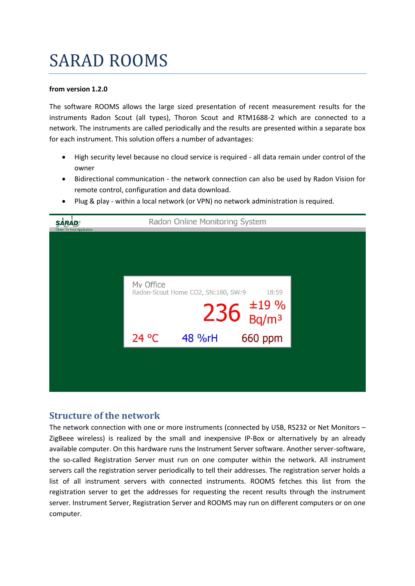# SARAD ROOMS

#### **from version 1.2.0**

The software ROOMS allows the large sized presentation of recent measurement results for the instruments Radon Scout (all types), Thoron Scout and RTM1688-2 which are connected to a network. The instruments are called periodically and the results are presented within a separate box for each instrument. This solution offers a number of advantages:

- High security level because no cloud service is required all data remain under control of the owner
- Bidirectional communication the network connection can also be used by Radon Vision for remote control, configuration and data download.



Plug & play - within a local network (or VPN) no network administration is required.

### **Structure of the network**

The network connection with one or more instruments (connected by USB, RS232 or Net Monitors – ZigBeee wireless) is realized by the small and inexpensive IP-Box or alternatively by an already available computer. On this hardware runs the Instrument Server software. Another server-software, the so-called Registration Server must run on one computer within the network. All instrument servers call the registration server periodically to tell their addresses. The registration server holds a list of all instrument servers with connected instruments. ROOMS fetches this list from the registration server to get the addresses for requesting the recent results through the instrument server. Instrument Server, Registration Server and ROOMS may run on different computers or on one computer.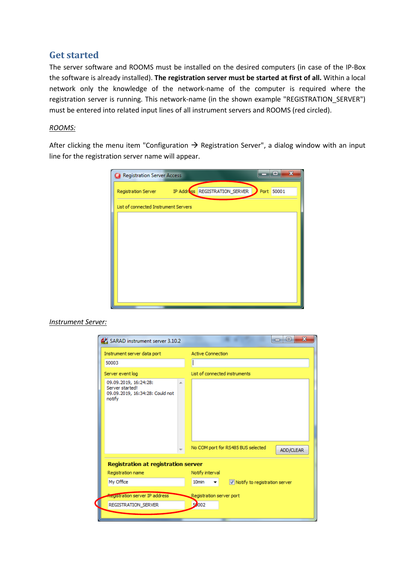## **Get started**

The server software and ROOMS must be installed on the desired computers (in case of the IP-Box the software is already installed). **The registration server must be started at first of all.** Within a local network only the knowledge of the network-name of the computer is required where the registration server is running. This network-name (in the shown example "REGISTRATION\_SERVER") must be entered into related input lines of all instrument servers and ROOMS (red circled).

#### *ROOMS:*

After clicking the menu item "Configuration  $\rightarrow$  Registration Server", a dialog window with an input line for the registration server name will appear.

| Registration Server Access           |  |                                                    | ▣          | $\mathbf x$ |  |  |
|--------------------------------------|--|----------------------------------------------------|------------|-------------|--|--|
|                                      |  | Registration Server TP Address REGISTRATION_SERVER | Port 50001 |             |  |  |
| List of connected Instrument Servers |  |                                                    |            |             |  |  |
|                                      |  |                                                    |            |             |  |  |
|                                      |  |                                                    |            |             |  |  |
|                                      |  |                                                    |            |             |  |  |
|                                      |  |                                                    |            |             |  |  |
|                                      |  |                                                    |            |             |  |  |
|                                      |  |                                                    |            |             |  |  |
|                                      |  |                                                    |            |             |  |  |

*Instrument Server:*

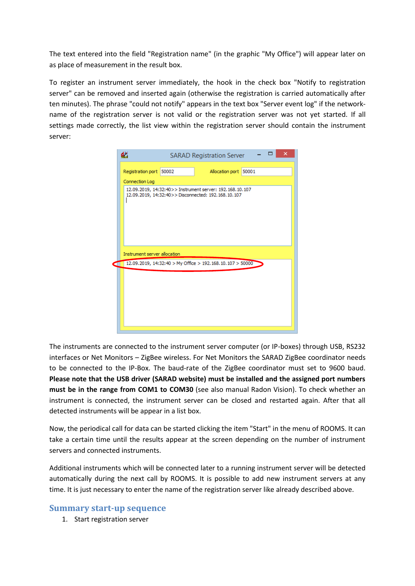The text entered into the field "Registration name" (in the graphic "My Office") will appear later on as place of measurement in the result box.

To register an instrument server immediately, the hook in the check box "Notify to registration server" can be removed and inserted again (otherwise the registration is carried automatically after ten minutes). The phrase "could not notify" appears in the text box "Server event log" if the networkname of the registration server is not valid or the registration server was not yet started. If all settings made correctly, the list view within the registration server should contain the instrument server:

|                                                                | dă<br>×<br><b>SARAD Registration Server</b>                                                                     |       |                       |  |  |  |  |
|----------------------------------------------------------------|-----------------------------------------------------------------------------------------------------------------|-------|-----------------------|--|--|--|--|
|                                                                | Registration port                                                                                               | 50002 | Allocation port 50001 |  |  |  |  |
|                                                                | Connection Log                                                                                                  |       |                       |  |  |  |  |
|                                                                | 12.09.2019, 14:32:40>> Instrument server: 192.168.10.107<br>12.09.2019, 14:32:40>> Disconnected: 192.168.10.107 |       |                       |  |  |  |  |
| Instrument server allocation                                   |                                                                                                                 |       |                       |  |  |  |  |
| 12.09.2019, 14:32:40 > My Office > 192.168.10.107 > 50000<br>а |                                                                                                                 |       |                       |  |  |  |  |
|                                                                |                                                                                                                 |       |                       |  |  |  |  |

The instruments are connected to the instrument server computer (or IP-boxes) through USB, RS232 interfaces or Net Monitors – ZigBee wireless. For Net Monitors the SARAD ZigBee coordinator needs to be connected to the IP-Box. The baud-rate of the ZigBee coordinator must set to 9600 baud. **Please note that the USB driver (SARAD website) must be installed and the assigned port numbers must be in the range from COM1 to COM30** (see also manual Radon Vision). To check whether an instrument is connected, the instrument server can be closed and restarted again. After that all detected instruments will be appear in a list box.

Now, the periodical call for data can be started clicking the item "Start" in the menu of ROOMS. It can take a certain time until the results appear at the screen depending on the number of instrument servers and connected instruments.

Additional instruments which will be connected later to a running instrument server will be detected automatically during the next call by ROOMS. It is possible to add new instrument servers at any time. It is just necessary to enter the name of the registration server like already described above.

#### **Summary start-up sequence**

1. Start registration server